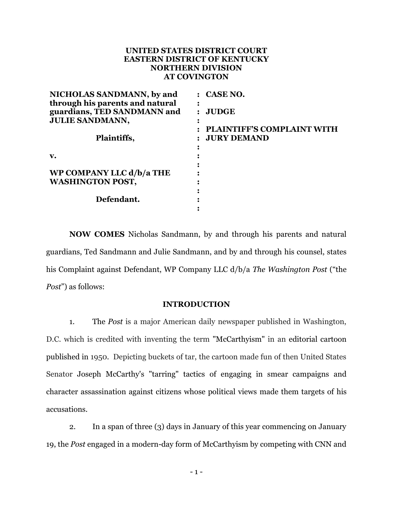# **UNITED STATES DISTRICT COURT EASTERN DISTRICT OF KENTUCKY NORTHERN DIVISION AT COVINGTON**

| NICHOLAS SANDMANN, by and       | $:$ CASE NO.               |
|---------------------------------|----------------------------|
| through his parents and natural |                            |
| guardians, TED SANDMANN and     | : JUDGE                    |
| <b>JULIE SANDMANN,</b>          |                            |
|                                 | PLAINTIFF'S COMPLAINT WITH |
| Plaintiffs,                     | <b>JURY DEMAND</b>         |
|                                 |                            |
| $\mathbf{v}$ .                  |                            |
|                                 |                            |
| WP COMPANY LLC d/b/a THE        |                            |
| <b>WASHINGTON POST,</b>         |                            |
|                                 |                            |
| Defendant.                      |                            |
|                                 |                            |

**NOW COMES** Nicholas Sandmann, by and through his parents and natural guardians, Ted Sandmann and Julie Sandmann, and by and through his counsel, states his Complaint against Defendant, WP Company LLC d/b/a *The Washington Post* ("the *Post*") as follows:

## **INTRODUCTION**

1. The *Post* is a major American daily newspaper published in Washington, D.C. which is credited with inventing the term ["McCarthyism"](https://en.wikipedia.org/wiki/McCarthyism) in an [editorial cartoon](https://en.wikipedia.org/wiki/Editorial_cartoon) published in 1950. Depicting buckets of tar, the cartoon made fun of then United States Senator [Joseph McCarthy'](https://en.wikipedia.org/wiki/Joseph_McCarthy)s "tarring" tactics of engaging in [smear campaigns](https://en.wikipedia.org/wiki/Smear_campaign) and [character assassination](https://en.wikipedia.org/wiki/Character_assassination) against citizens whose political views made them targets of his accusations.

2. In a span of three (3) days in January of this year commencing on January 19, the *Post* engaged in a modern-day form of McCarthyism by competing with CNN and

- 1 -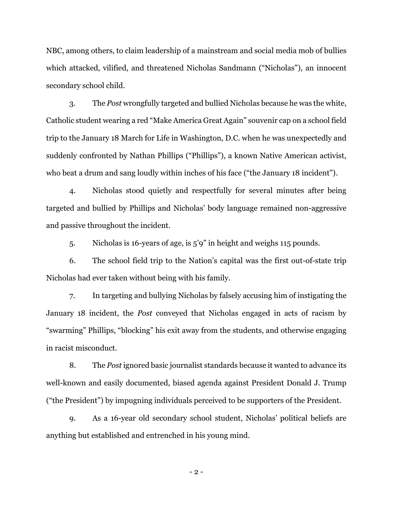NBC, among others, to claim leadership of a mainstream and social media mob of bullies which attacked, vilified, and threatened Nicholas Sandmann ("Nicholas"), an innocent secondary school child.

3. The *Post* wrongfully targeted and bullied Nicholas because he was the white, Catholic student wearing a red "Make America Great Again" souvenir cap on a school field trip to the January 18 March for Life in Washington, D.C. when he was unexpectedly and suddenly confronted by Nathan Phillips ("Phillips"), a known Native American activist, who beat a drum and sang loudly within inches of his face ("the January 18 incident").

4. Nicholas stood quietly and respectfully for several minutes after being targeted and bullied by Phillips and Nicholas' body language remained non-aggressive and passive throughout the incident.

5. Nicholas is 16-years of age, is 5'9" in height and weighs 115 pounds.

6. The school field trip to the Nation's capital was the first out-of-state trip Nicholas had ever taken without being with his family.

7. In targeting and bullying Nicholas by falsely accusing him of instigating the January 18 incident, the *Post* conveyed that Nicholas engaged in acts of racism by "swarming" Phillips, "blocking" his exit away from the students, and otherwise engaging in racist misconduct.

8. The *Post* ignored basic journalist standards because it wanted to advance its well-known and easily documented, biased agenda against President Donald J. Trump ("the President") by impugning individuals perceived to be supporters of the President.

9. As a 16-year old secondary school student, Nicholas' political beliefs are anything but established and entrenched in his young mind.

- 2 -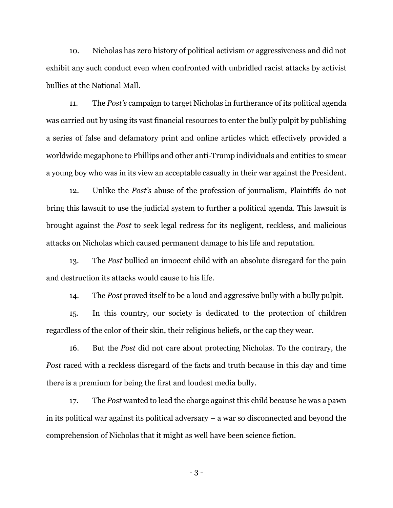10. Nicholas has zero history of political activism or aggressiveness and did not exhibit any such conduct even when confronted with unbridled racist attacks by activist bullies at the National Mall.

11. The *Post's* campaign to target Nicholas in furtherance of its political agenda was carried out by using its vast financial resources to enter the bully pulpit by publishing a series of false and defamatory print and online articles which effectively provided a worldwide megaphone to Phillips and other anti-Trump individuals and entities to smear a young boy who was in its view an acceptable casualty in their war against the President.

12. Unlike the *Post's* abuse of the profession of journalism, Plaintiffs do not bring this lawsuit to use the judicial system to further a political agenda. This lawsuit is brought against the *Post* to seek legal redress for its negligent, reckless, and malicious attacks on Nicholas which caused permanent damage to his life and reputation.

13. The *Post* bullied an innocent child with an absolute disregard for the pain and destruction its attacks would cause to his life.

14. The *Post* proved itself to be a loud and aggressive bully with a bully pulpit.

15. In this country, our society is dedicated to the protection of children regardless of the color of their skin, their religious beliefs, or the cap they wear.

16. But the *Post* did not care about protecting Nicholas. To the contrary, the *Post* raced with a reckless disregard of the facts and truth because in this day and time there is a premium for being the first and loudest media bully.

17. The *Post* wanted to lead the charge against this child because he was a pawn in its political war against its political adversary – a war so disconnected and beyond the comprehension of Nicholas that it might as well have been science fiction.

- 3 -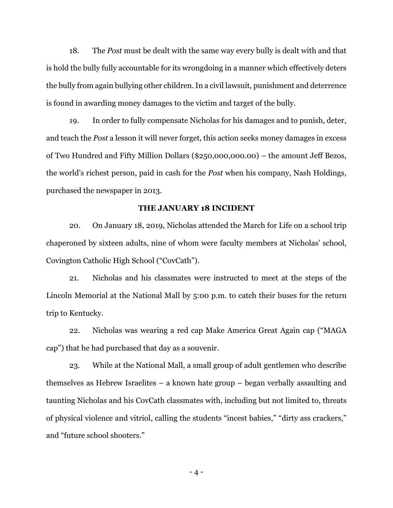18. The *Post* must be dealt with the same way every bully is dealt with and that is hold the bully fully accountable for its wrongdoing in a manner which effectively deters the bully from again bullying other children. In a civil lawsuit, punishment and deterrence is found in awarding money damages to the victim and target of the bully.

19. In order to fully compensate Nicholas for his damages and to punish, deter, and teach the *Post* a lesson it will never forget, this action seeks money damages in excess of Two Hundred and Fifty Million Dollars (\$250,000,000.00) – the amount Jeff Bezos, the world's richest person, paid in cash for the *Post* when his company, Nash Holdings, purchased the newspaper in 2013.

### **THE JANUARY 18 INCIDENT**

20. On January 18, 2019, Nicholas attended the March for Life on a school trip chaperoned by sixteen adults, nine of whom were faculty members at Nicholas' school, Covington Catholic High School ("CovCath").

21. Nicholas and his classmates were instructed to meet at the steps of the Lincoln Memorial at the National Mall by 5:00 p.m. to catch their buses for the return trip to Kentucky.

22. Nicholas was wearing a red cap Make America Great Again cap ("MAGA cap") that he had purchased that day as a souvenir.

23. While at the National Mall, a small group of adult gentlemen who describe themselves as Hebrew Israelites – a known hate group – began verbally assaulting and taunting Nicholas and his CovCath classmates with, including but not limited to, threats of physical violence and vitriol, calling the students "incest babies," "dirty ass crackers," and "future school shooters."

 $-4-$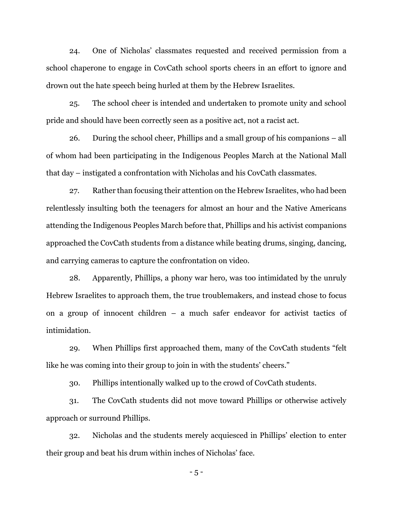24. One of Nicholas' classmates requested and received permission from a school chaperone to engage in CovCath school sports cheers in an effort to ignore and drown out the hate speech being hurled at them by the Hebrew Israelites.

25. The school cheer is intended and undertaken to promote unity and school pride and should have been correctly seen as a positive act, not a racist act.

26. During the school cheer, Phillips and a small group of his companions – all of whom had been participating in the Indigenous Peoples March at the National Mall that day – instigated a confrontation with Nicholas and his CovCath classmates.

27. Rather than focusing their attention on the Hebrew Israelites, who had been relentlessly insulting both the teenagers for almost an hour and the Native Americans attending the Indigenous Peoples March before that, Phillips and his activist companions approached the CovCath students from a distance while beating drums, singing, dancing, and carrying cameras to capture the confrontation on video.

28. Apparently, Phillips, a phony war hero, was too intimidated by the unruly Hebrew Israelites to approach them, the true troublemakers, and instead chose to focus on a group of innocent children – a much safer endeavor for activist tactics of intimidation.

29. When Phillips first approached them, many of the CovCath students "felt like he was coming into their group to join in with the students' cheers."

30. Phillips intentionally walked up to the crowd of CovCath students.

31. The CovCath students did not move toward Phillips or otherwise actively approach or surround Phillips.

32. Nicholas and the students merely acquiesced in Phillips' election to enter their group and beat his drum within inches of Nicholas' face.

- 5 -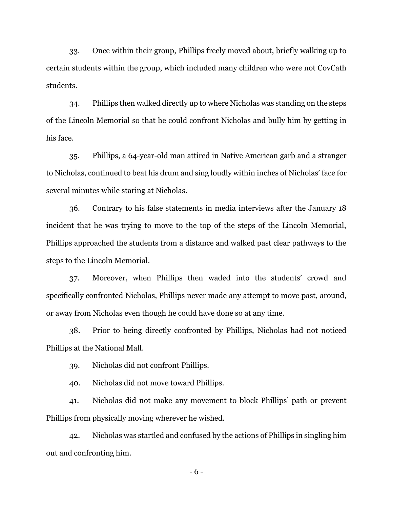33. Once within their group, Phillips freely moved about, briefly walking up to certain students within the group, which included many children who were not CovCath students.

34. Phillips then walked directly up to where Nicholas was standing on the steps of the Lincoln Memorial so that he could confront Nicholas and bully him by getting in his face.

35. Phillips, a 64-year-old man attired in Native American garb and a stranger to Nicholas, continued to beat his drum and sing loudly within inches of Nicholas' face for several minutes while staring at Nicholas.

36. Contrary to his false statements in media interviews after the January 18 incident that he was trying to move to the top of the steps of the Lincoln Memorial, Phillips approached the students from a distance and walked past clear pathways to the steps to the Lincoln Memorial.

37. Moreover, when Phillips then waded into the students' crowd and specifically confronted Nicholas, Phillips never made any attempt to move past, around, or away from Nicholas even though he could have done so at any time.

38. Prior to being directly confronted by Phillips, Nicholas had not noticed Phillips at the National Mall.

39. Nicholas did not confront Phillips.

40. Nicholas did not move toward Phillips.

41. Nicholas did not make any movement to block Phillips' path or prevent Phillips from physically moving wherever he wished.

42. Nicholas was startled and confused by the actions of Phillips in singling him out and confronting him.

- 6 -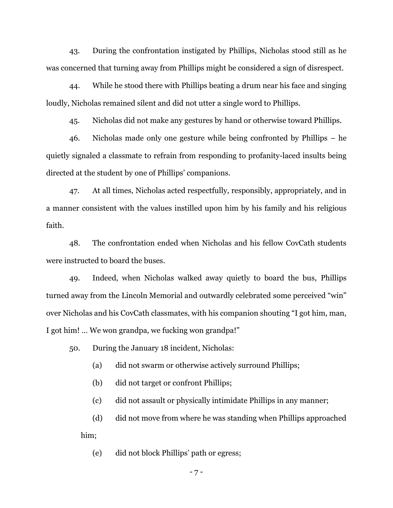43. During the confrontation instigated by Phillips, Nicholas stood still as he was concerned that turning away from Phillips might be considered a sign of disrespect.

44. While he stood there with Phillips beating a drum near his face and singing loudly, Nicholas remained silent and did not utter a single word to Phillips.

45. Nicholas did not make any gestures by hand or otherwise toward Phillips.

46. Nicholas made only one gesture while being confronted by Phillips – he quietly signaled a classmate to refrain from responding to profanity-laced insults being directed at the student by one of Phillips' companions.

47. At all times, Nicholas acted respectfully, responsibly, appropriately, and in a manner consistent with the values instilled upon him by his family and his religious faith.

48. The confrontation ended when Nicholas and his fellow CovCath students were instructed to board the buses.

49. Indeed, when Nicholas walked away quietly to board the bus, Phillips turned away from the Lincoln Memorial and outwardly celebrated some perceived "win" over Nicholas and his CovCath classmates, with his companion shouting "I got him, man, I got him! … We won grandpa, we fucking won grandpa!"

50. During the January 18 incident, Nicholas:

(a) did not swarm or otherwise actively surround Phillips;

(b) did not target or confront Phillips;

(c) did not assault or physically intimidate Phillips in any manner;

(d) did not move from where he was standing when Phillips approached him;

(e) did not block Phillips' path or egress;

- 7 -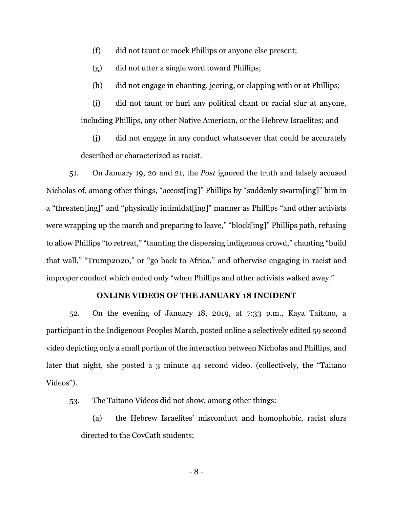- (f) did not taunt or mock Phillips or anyone else present;
- (g) did not utter a single word toward Phillips;
- (h) did not engage in chanting, jeering, or clapping with or at Phillips;

(i) did not taunt or hurl any political chant or racial slur at anyone, including Phillips, any other Native American, or the Hebrew Israelites; and

(j) did not engage in any conduct whatsoever that could be accurately described or characterized as racist.

51. On January 19, 20 and 21, the *Post* ignored the truth and falsely accused Nicholas of, among other things, "accost[ing]" Phillips by "suddenly swarm[ing]" him in a "threaten[ing]" and "physically intimidat[ing]" manner as Phillips "and other activists were wrapping up the march and preparing to leave," "block[ing]" Phillips path, refusing to allow Phillips "to retreat," "taunting the dispersing indigenous crowd," chanting "build that wall," "Trump2020," or "go back to Africa," and otherwise engaging in racist and improper conduct which ended only "when Phillips and other activists walked away."

#### **ONLINE VIDEOS OF THE JANUARY 18 INCIDENT**

52. On the evening of January 18, 2019, at 7:33 p.m., Kaya Taitano, a participant in the Indigenous Peoples March, posted online a selectively edited 59 second video depicting only a small portion of the interaction between Nicholas and Phillips, and later that night, she posted a 3 minute 44 second video. (collectively, the "Taitano Videos").

- 53. The Taitano Videos did not show, among other things:
	- (a) the Hebrew Israelites' misconduct and homophobic, racist slurs directed to the CovCath students;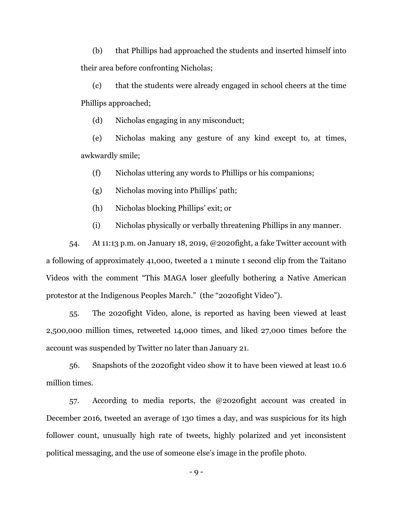(b) that Phillips had approached the students and inserted himself into their area before confronting Nicholas;

(c) that the students were already engaged in school cheers at the time Phillips approached;

(d) Nicholas engaging in any misconduct;

(e) Nicholas making any gesture of any kind except to, at times, awkwardly smile;

(f) Nicholas uttering any words to Phillips or his companions;

(g) Nicholas moving into Phillips' path;

(h) Nicholas blocking Phillips' exit; or

(i) Nicholas physically or verbally threatening Phillips in any manner.

54. At 11:13 p.m. on January 18, 2019, @2020fight, a fake Twitter account with a following of approximately 41,000, tweeted a 1 minute 1 second clip from the Taitano Videos with the comment "This MAGA loser gleefully bothering a Native American protestor at the Indigenous Peoples March." (the "2020fight Video").

55. The 2020fight Video, alone, is reported as having been viewed at least 2,500,000 million times, retweeted 14,000 times, and liked 27,000 times before the account was suspended by Twitter no later than January 21.

56. Snapshots of the 2020fight video show it to have been viewed at least 10.6 million times.

57. According to media reports, the @2020fight account was created in December 2016, tweeted an average of 130 times a day, and was suspicious for its high follower count, unusually high rate of tweets, highly polarized and yet inconsistent political messaging, and the use of someone else's image in the profile photo.

- 9 -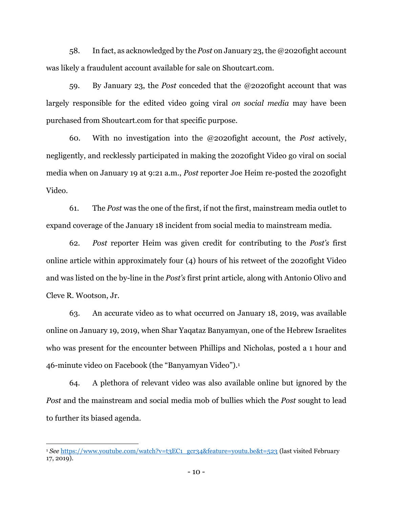58. In fact, as acknowledged by the *Post* on January 23, the @2020fight account was likely a fraudulent account available for sale on Shoutcart.com.

59. By January 23, the *Post* conceded that the @2020fight account that was largely responsible for the edited video going viral *on social media* may have been purchased from Shoutcart.com for that specific purpose.

60. With no investigation into the @2020fight account, the *Post* actively, negligently, and recklessly participated in making the 2020fight Video go viral on social media when on January 19 at 9:21 a.m., *Post* reporter Joe Heim re-posted the 2020fight Video.

61. The *Post* was the one of the first, if not the first, mainstream media outlet to expand coverage of the January 18 incident from social media to mainstream media.

62. *Post* reporter Heim was given credit for contributing to the *Post's* first online article within approximately four (4) hours of his retweet of the 2020fight Video and was listed on the by-line in the *Post's* first print article, along with Antonio Olivo and Cleve R. Wootson, Jr.

63. An accurate video as to what occurred on January 18, 2019, was available online on January 19, 2019, when Shar Yaqataz Banyamyan, one of the Hebrew Israelites who was present for the encounter between Phillips and Nicholas, posted a 1 hour and 46-minute video on Facebook (the "Banyamyan Video").<sup>1</sup>

64. A plethora of relevant video was also available online but ignored by the *Post* and the mainstream and social media mob of bullies which the *Post* sought to lead to further its biased agenda.

 $\overline{a}$ 

<sup>&</sup>lt;sup>1</sup> See [https://www.youtube.com/watch?v=t3EC1\\_gcr34&feature=youtu.be&t=523](https://www.youtube.com/watch?v=t3EC1_gcr34&feature=youtu.be&t=523) (last visited February 17, 2019).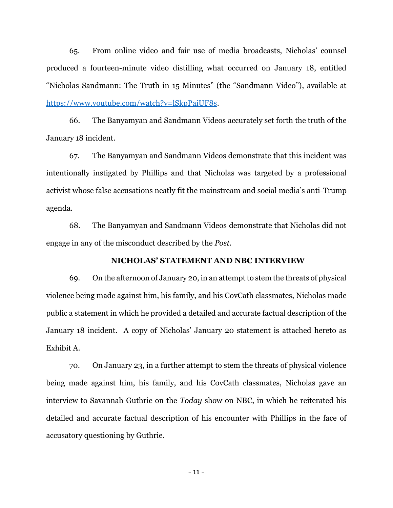65. From online video and fair use of media broadcasts, Nicholas' counsel produced a fourteen-minute video distilling what occurred on January 18, entitled "Nicholas Sandmann: The Truth in 15 Minutes" (the "Sandmann Video"), available at [https://www.youtube.com/watch?v=lSkpPaiUF8s.](https://www.youtube.com/watch?v=lSkpPaiUF8s)

66. The Banyamyan and Sandmann Videos accurately set forth the truth of the January 18 incident.

67. The Banyamyan and Sandmann Videos demonstrate that this incident was intentionally instigated by Phillips and that Nicholas was targeted by a professional activist whose false accusations neatly fit the mainstream and social media's anti-Trump agenda.

68. The Banyamyan and Sandmann Videos demonstrate that Nicholas did not engage in any of the misconduct described by the *Post*.

# **NICHOLAS' STATEMENT AND NBC INTERVIEW**

69. On the afternoon of January 20, in an attempt to stem the threats of physical violence being made against him, his family, and his CovCath classmates, Nicholas made public a statement in which he provided a detailed and accurate factual description of the January 18 incident. A copy of Nicholas' January 20 statement is attached hereto as Exhibit A.

70. On January 23, in a further attempt to stem the threats of physical violence being made against him, his family, and his CovCath classmates, Nicholas gave an interview to Savannah Guthrie on the *Today* show on NBC, in which he reiterated his detailed and accurate factual description of his encounter with Phillips in the face of accusatory questioning by Guthrie.

- 11 -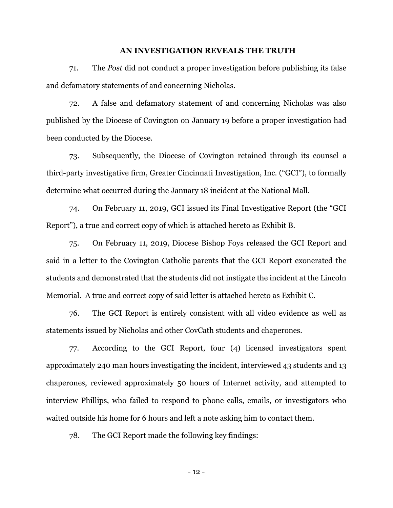#### **AN INVESTIGATION REVEALS THE TRUTH**

71. The *Post* did not conduct a proper investigation before publishing its false and defamatory statements of and concerning Nicholas.

72. A false and defamatory statement of and concerning Nicholas was also published by the Diocese of Covington on January 19 before a proper investigation had been conducted by the Diocese.

73. Subsequently, the Diocese of Covington retained through its counsel a third-party investigative firm, Greater Cincinnati Investigation, Inc. ("GCI"), to formally determine what occurred during the January 18 incident at the National Mall.

74. On February 11, 2019, GCI issued its Final Investigative Report (the "GCI Report"), a true and correct copy of which is attached hereto as Exhibit B.

75. On February 11, 2019, Diocese Bishop Foys released the GCI Report and said in a letter to the Covington Catholic parents that the GCI Report exonerated the students and demonstrated that the students did not instigate the incident at the Lincoln Memorial. A true and correct copy of said letter is attached hereto as Exhibit C.

76. The GCI Report is entirely consistent with all video evidence as well as statements issued by Nicholas and other CovCath students and chaperones.

77. According to the GCI Report, four (4) licensed investigators spent approximately 240 man hours investigating the incident, interviewed 43 students and 13 chaperones, reviewed approximately 50 hours of Internet activity, and attempted to interview Phillips, who failed to respond to phone calls, emails, or investigators who waited outside his home for 6 hours and left a note asking him to contact them.

78. The GCI Report made the following key findings:

- 12 -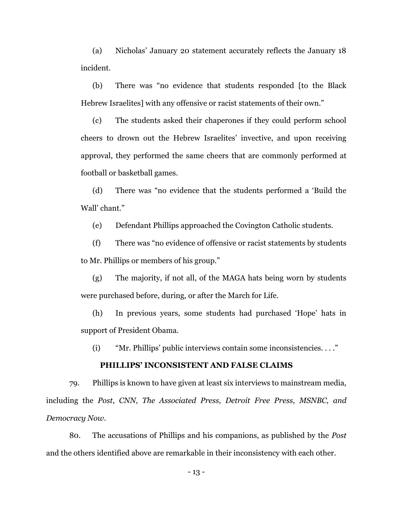(a) Nicholas' January 20 statement accurately reflects the January 18 incident.

(b) There was "no evidence that students responded [to the Black Hebrew Israelites] with any offensive or racist statements of their own."

(c) The students asked their chaperones if they could perform school cheers to drown out the Hebrew Israelites' invective, and upon receiving approval, they performed the same cheers that are commonly performed at football or basketball games.

(d) There was "no evidence that the students performed a 'Build the Wall' chant."

(e) Defendant Phillips approached the Covington Catholic students.

(f) There was "no evidence of offensive or racist statements by students to Mr. Phillips or members of his group."

(g) The majority, if not all, of the MAGA hats being worn by students were purchased before, during, or after the March for Life.

(h) In previous years, some students had purchased 'Hope' hats in support of President Obama.

(i) "Mr. Phillips' public interviews contain some inconsistencies. . . ."

# **PHILLIPS' INCONSISTENT AND FALSE CLAIMS**

79. Phillips is known to have given at least six interviews to mainstream media, including the *Post*, *CNN, The Associated Press, Detroit Free Press, MSNBC, and Democracy Now*.

80. The accusations of Phillips and his companions, as published by the *Post* and the others identified above are remarkable in their inconsistency with each other.

- 13 -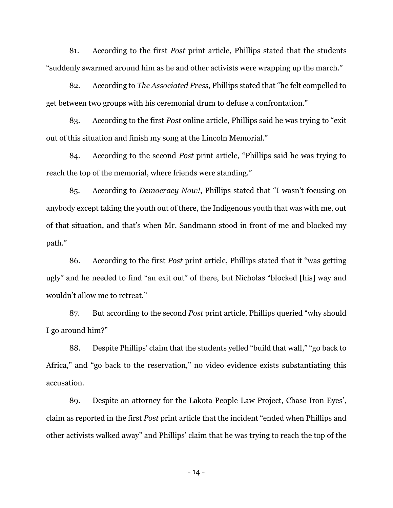81. According to the first *Post* print article, Phillips stated that the students "suddenly swarmed around him as he and other activists were wrapping up the march."

82. According to *The Associated Press*, Phillips stated that "he felt compelled to get between two groups with his ceremonial drum to defuse a confrontation."

83. According to the first *Post* online article, Phillips said he was trying to "exit out of this situation and finish my song at the Lincoln Memorial."

84. According to the second *Post* print article, "Phillips said he was trying to reach the top of the memorial, where friends were standing."

85. According to *Democracy Now!*, Phillips stated that "I wasn't focusing on anybody except taking the youth out of there, the Indigenous youth that was with me, out of that situation, and that's when Mr. Sandmann stood in front of me and blocked my path."

86. According to the first *Post* print article, Phillips stated that it "was getting ugly" and he needed to find "an exit out" of there, but Nicholas "blocked [his] way and wouldn't allow me to retreat."

87. But according to the second *Post* print article, Phillips queried "why should I go around him?"

88. Despite Phillips' claim that the students yelled "build that wall," "go back to Africa," and "go back to the reservation," no video evidence exists substantiating this accusation.

89. Despite an attorney for the Lakota People Law Project, Chase Iron Eyes', claim as reported in the first *Post* print article that the incident "ended when Phillips and other activists walked away" and Phillips' claim that he was trying to reach the top of the

- 14 -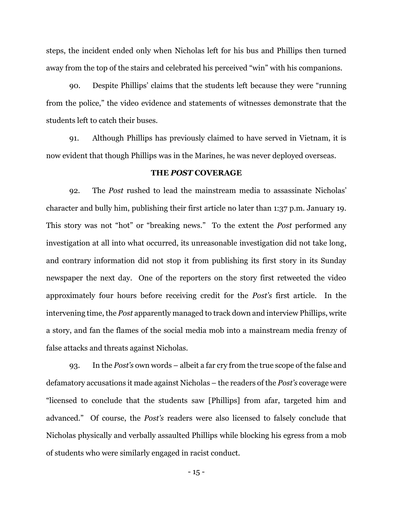steps, the incident ended only when Nicholas left for his bus and Phillips then turned away from the top of the stairs and celebrated his perceived "win" with his companions.

90. Despite Phillips' claims that the students left because they were "running from the police," the video evidence and statements of witnesses demonstrate that the students left to catch their buses.

91. Although Phillips has previously claimed to have served in Vietnam, it is now evident that though Phillips was in the Marines, he was never deployed overseas.

### **THE** *POST* **COVERAGE**

92. The *Post* rushed to lead the mainstream media to assassinate Nicholas' character and bully him, publishing their first article no later than 1:37 p.m. January 19. This story was not "hot" or "breaking news." To the extent the *Post* performed any investigation at all into what occurred, its unreasonable investigation did not take long, and contrary information did not stop it from publishing its first story in its Sunday newspaper the next day. One of the reporters on the story first retweeted the video approximately four hours before receiving credit for the *Post's* first article. In the intervening time, the *Post* apparently managed to track down and interview Phillips, write a story, and fan the flames of the social media mob into a mainstream media frenzy of false attacks and threats against Nicholas.

93. In the *Post's* own words – albeit a far cry from the true scope of the false and defamatory accusations it made against Nicholas – the readers of the *Post's* coverage were "licensed to conclude that the students saw [Phillips] from afar, targeted him and advanced." Of course, the *Post's* readers were also licensed to falsely conclude that Nicholas physically and verbally assaulted Phillips while blocking his egress from a mob of students who were similarly engaged in racist conduct.

 $-15 -$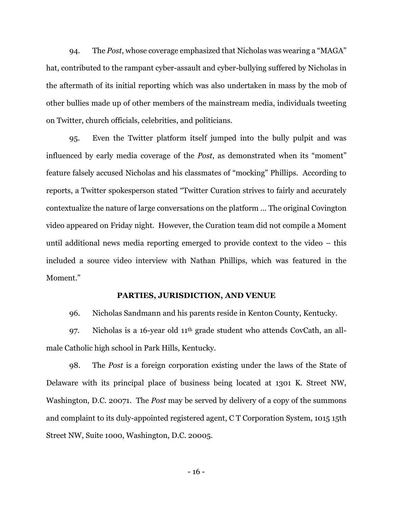94. The *Post*, whose coverage emphasized that Nicholas was wearing a "MAGA" hat, contributed to the rampant cyber-assault and cyber-bullying suffered by Nicholas in the aftermath of its initial reporting which was also undertaken in mass by the mob of other bullies made up of other members of the mainstream media, individuals tweeting on Twitter, church officials, celebrities, and politicians.

95. Even the Twitter platform itself jumped into the bully pulpit and was influenced by early media coverage of the *Post*, as demonstrated when its "moment" feature falsely accused Nicholas and his classmates of "mocking" Phillips. According to reports, a Twitter spokesperson stated "Twitter Curation strives to fairly and accurately contextualize the nature of large conversations on the platform … The original Covington video appeared on Friday night. However, the Curation team did not compile a Moment until additional news media reporting emerged to provide context to the video – this included a source video interview with Nathan Phillips, which was featured in the Moment."

## **PARTIES, JURISDICTION, AND VENUE**

96. Nicholas Sandmann and his parents reside in Kenton County, Kentucky.

97. Nicholas is a 16-year old 11th grade student who attends CovCath, an allmale Catholic high school in Park Hills, Kentucky.

98. The *Post* is a foreign corporation existing under the laws of the State of Delaware with its principal place of business being located at 1301 K. Street NW, Washington, D.C. 20071. The *Post* may be served by delivery of a copy of the summons and complaint to its duly-appointed registered agent, C T Corporation System, 1015 15th Street NW, Suite 1000, Washington, D.C. 20005.

- 16 -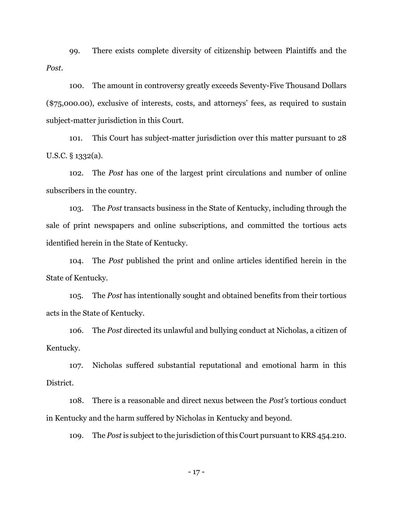99. There exists complete diversity of citizenship between Plaintiffs and the *Post*.

100. The amount in controversy greatly exceeds Seventy-Five Thousand Dollars (\$75,000.00), exclusive of interests, costs, and attorneys' fees, as required to sustain subject-matter jurisdiction in this Court.

101. This Court has subject-matter jurisdiction over this matter pursuant to 28 U.S.C. § 1332(a).

102. The *Post* has one of the largest print circulations and number of online subscribers in the country.

103. The *Post* transacts business in the State of Kentucky, including through the sale of print newspapers and online subscriptions, and committed the tortious acts identified herein in the State of Kentucky.

104. The *Post* published the print and online articles identified herein in the State of Kentucky.

105. The *Post* has intentionally sought and obtained benefits from their tortious acts in the State of Kentucky.

106. The *Post* directed its unlawful and bullying conduct at Nicholas, a citizen of Kentucky.

107. Nicholas suffered substantial reputational and emotional harm in this District.

108. There is a reasonable and direct nexus between the *Post's* tortious conduct in Kentucky and the harm suffered by Nicholas in Kentucky and beyond.

109. The *Post* is subject to the jurisdiction of this Court pursuant to KRS 454.210.

- 17 -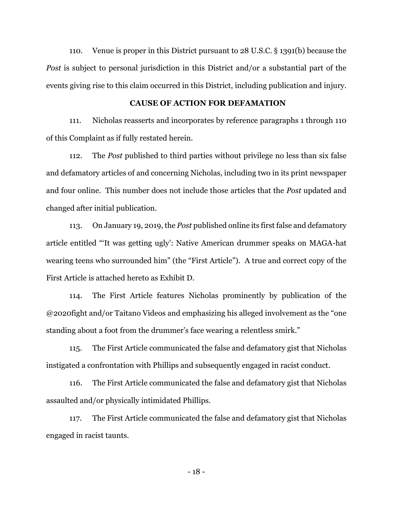110. Venue is proper in this District pursuant to 28 U.S.C. § 1391(b) because the *Post* is subject to personal jurisdiction in this District and/or a substantial part of the events giving rise to this claim occurred in this District, including publication and injury.

## **CAUSE OF ACTION FOR DEFAMATION**

111. Nicholas reasserts and incorporates by reference paragraphs 1 through 110 of this Complaint as if fully restated herein.

112. The *Post* published to third parties without privilege no less than six false and defamatory articles of and concerning Nicholas, including two in its print newspaper and four online. This number does not include those articles that the *Post* updated and changed after initial publication.

113. On January 19, 2019, the *Post* published online its first false and defamatory article entitled "'It was getting ugly': Native American drummer speaks on MAGA-hat wearing teens who surrounded him" (the "First Article"). A true and correct copy of the First Article is attached hereto as Exhibit D.

114. The First Article features Nicholas prominently by publication of the @2020fight and/or Taitano Videos and emphasizing his alleged involvement as the "one standing about a foot from the drummer's face wearing a relentless smirk."

115. The First Article communicated the false and defamatory gist that Nicholas instigated a confrontation with Phillips and subsequently engaged in racist conduct.

116. The First Article communicated the false and defamatory gist that Nicholas assaulted and/or physically intimidated Phillips.

117. The First Article communicated the false and defamatory gist that Nicholas engaged in racist taunts.

- 18 -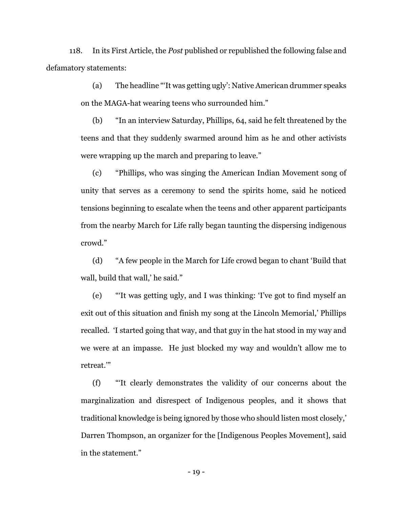118. In its First Article, the *Post* published or republished the following false and defamatory statements:

> (a) The headline "'It was getting ugly': Native American drummer speaks on the MAGA-hat wearing teens who surrounded him."

> (b) "In an interview Saturday, Phillips, 64, said he felt threatened by the teens and that they suddenly swarmed around him as he and other activists were wrapping up the march and preparing to leave."

> (c) "Phillips, who was singing the American Indian Movement song of unity that serves as a ceremony to send the spirits home, said he noticed tensions beginning to escalate when the teens and other apparent participants from the nearby March for Life rally began taunting the dispersing indigenous crowd."

> (d) "A few people in the March for Life crowd began to chant 'Build that wall, build that wall,' he said."

> (e) "'It was getting ugly, and I was thinking: 'I've got to find myself an exit out of this situation and finish my song at the Lincoln Memorial,' Phillips recalled. 'I started going that way, and that guy in the hat stood in my way and we were at an impasse. He just blocked my way and wouldn't allow me to retreat.'"

> (f) "'It clearly demonstrates the validity of our concerns about the marginalization and disrespect of Indigenous peoples, and it shows that traditional knowledge is being ignored by those who should listen most closely,' Darren Thompson, an organizer for the [Indigenous Peoples Movement], said in the statement."

> > - 19 -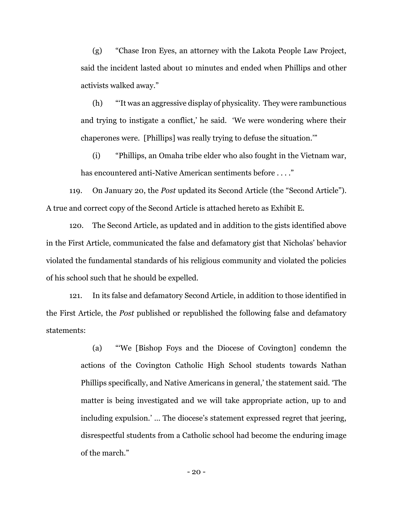(g) "Chase Iron Eyes, an attorney with the Lakota People Law Project, said the incident lasted about 10 minutes and ended when Phillips and other activists walked away."

(h) "'It was an aggressive display of physicality. They were rambunctious and trying to instigate a conflict,' he said. 'We were wondering where their chaperones were. [Phillips] was really trying to defuse the situation.'"

(i) "Phillips, an Omaha tribe elder who also fought in the Vietnam war, has encountered anti-Native American sentiments before . . . ."

119. On January 20, the *Post* updated its Second Article (the "Second Article"). A true and correct copy of the Second Article is attached hereto as Exhibit E.

120. The Second Article, as updated and in addition to the gists identified above in the First Article, communicated the false and defamatory gist that Nicholas' behavior violated the fundamental standards of his religious community and violated the policies of his school such that he should be expelled.

121. In its false and defamatory Second Article, in addition to those identified in the First Article, the *Post* published or republished the following false and defamatory statements:

> (a) "'We [Bishop Foys and the Diocese of Covington] condemn the actions of the Covington Catholic High School students towards Nathan Phillips specifically, and Native Americans in general,' the statement said. 'The matter is being investigated and we will take appropriate action, up to and including expulsion.' … The diocese's statement expressed regret that jeering, disrespectful students from a Catholic school had become the enduring image of the march."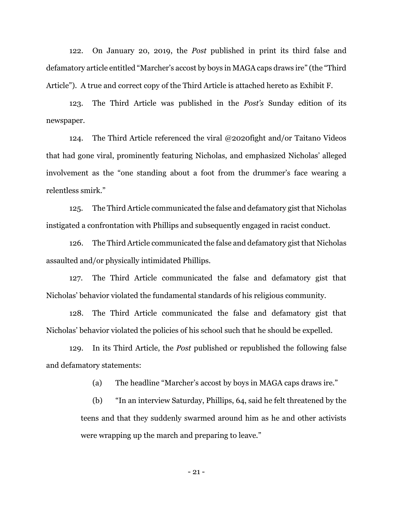122. On January 20, 2019, the *Post* published in print its third false and defamatory article entitled "Marcher's accost by boys in MAGA caps draws ire" (the "Third Article"). A true and correct copy of the Third Article is attached hereto as Exhibit F.

123. The Third Article was published in the *Post's* Sunday edition of its newspaper.

124. The Third Article referenced the viral @2020fight and/or Taitano Videos that had gone viral, prominently featuring Nicholas, and emphasized Nicholas' alleged involvement as the "one standing about a foot from the drummer's face wearing a relentless smirk."

125. The Third Article communicated the false and defamatory gist that Nicholas instigated a confrontation with Phillips and subsequently engaged in racist conduct.

126. The Third Article communicated the false and defamatory gist that Nicholas assaulted and/or physically intimidated Phillips.

127. The Third Article communicated the false and defamatory gist that Nicholas' behavior violated the fundamental standards of his religious community.

128. The Third Article communicated the false and defamatory gist that Nicholas' behavior violated the policies of his school such that he should be expelled.

129. In its Third Article, the *Post* published or republished the following false and defamatory statements:

(a) The headline "Marcher's accost by boys in MAGA caps draws ire."

(b) "In an interview Saturday, Phillips, 64, said he felt threatened by the teens and that they suddenly swarmed around him as he and other activists were wrapping up the march and preparing to leave."

- 21 -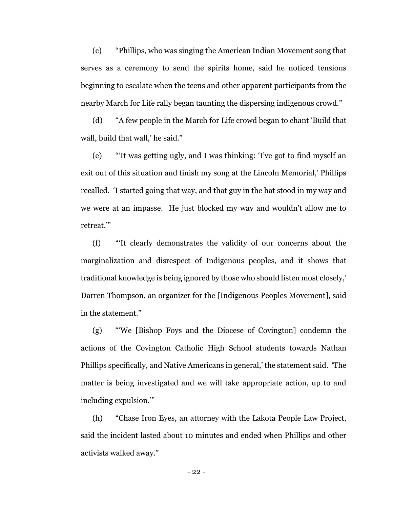(c) "Phillips, who was singing the American Indian Movement song that serves as a ceremony to send the spirits home, said he noticed tensions beginning to escalate when the teens and other apparent participants from the nearby March for Life rally began taunting the dispersing indigenous crowd."

(d) "A few people in the March for Life crowd began to chant 'Build that wall, build that wall,' he said."

(e) "'It was getting ugly, and I was thinking: 'I've got to find myself an exit out of this situation and finish my song at the Lincoln Memorial,' Phillips recalled. 'I started going that way, and that guy in the hat stood in my way and we were at an impasse. He just blocked my way and wouldn't allow me to retreat.'"

(f) "'It clearly demonstrates the validity of our concerns about the marginalization and disrespect of Indigenous peoples, and it shows that traditional knowledge is being ignored by those who should listen most closely,' Darren Thompson, an organizer for the [Indigenous Peoples Movement], said in the statement."

(g) "'We [Bishop Foys and the Diocese of Covington] condemn the actions of the Covington Catholic High School students towards Nathan Phillips specifically, and Native Americans in general,' the statement said. 'The matter is being investigated and we will take appropriate action, up to and including expulsion.'"

(h) "Chase Iron Eyes, an attorney with the Lakota People Law Project, said the incident lasted about 10 minutes and ended when Phillips and other activists walked away."

- 22 -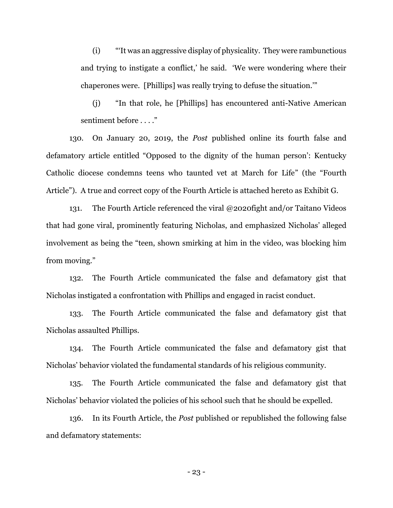(i) "'It was an aggressive display of physicality. They were rambunctious and trying to instigate a conflict,' he said. 'We were wondering where their chaperones were. [Phillips] was really trying to defuse the situation.'"

(j) "In that role, he [Phillips] has encountered anti-Native American sentiment before . . . ."

130. On January 20, 2019, the *Post* published online its fourth false and defamatory article entitled "Opposed to the dignity of the human person': Kentucky Catholic diocese condemns teens who taunted vet at March for Life" (the "Fourth Article"). A true and correct copy of the Fourth Article is attached hereto as Exhibit G.

131. The Fourth Article referenced the viral @2020fight and/or Taitano Videos that had gone viral, prominently featuring Nicholas, and emphasized Nicholas' alleged involvement as being the "teen, shown smirking at him in the video, was blocking him from moving."

132. The Fourth Article communicated the false and defamatory gist that Nicholas instigated a confrontation with Phillips and engaged in racist conduct.

133. The Fourth Article communicated the false and defamatory gist that Nicholas assaulted Phillips.

134. The Fourth Article communicated the false and defamatory gist that Nicholas' behavior violated the fundamental standards of his religious community.

135. The Fourth Article communicated the false and defamatory gist that Nicholas' behavior violated the policies of his school such that he should be expelled.

136. In its Fourth Article, the *Post* published or republished the following false and defamatory statements:

- 23 -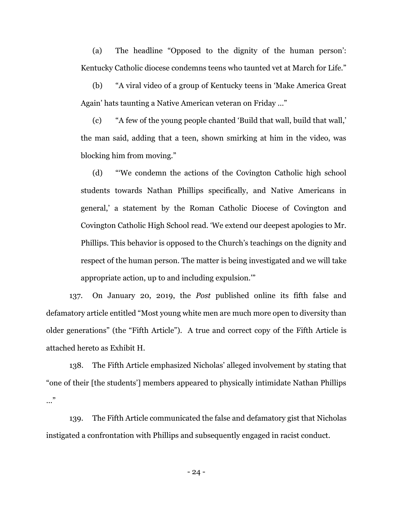(a) The headline "Opposed to the dignity of the human person': Kentucky Catholic diocese condemns teens who taunted vet at March for Life."

(b) "A viral video of a group of Kentucky teens in 'Make America Great Again' hats taunting a Native American veteran on Friday …"

(c) "A few of the young people chanted 'Build that wall, build that wall,' the man said, adding that a teen, shown smirking at him in the video, was blocking him from moving."

(d) "'We condemn the actions of the Covington Catholic high school students towards Nathan Phillips specifically, and Native Americans in general,' a statement by the Roman Catholic Diocese of Covington and Covington Catholic High School read. 'We extend our deepest apologies to Mr. Phillips. This behavior is opposed to the Church's teachings on the dignity and respect of the human person. The matter is being investigated and we will take appropriate action, up to and including expulsion.'"

137. On January 20, 2019, the *Post* published online its fifth false and defamatory article entitled "Most young white men are much more open to diversity than older generations" (the "Fifth Article"). A true and correct copy of the Fifth Article is attached hereto as Exhibit H.

138. The Fifth Article emphasized Nicholas' alleged involvement by stating that "one of their [the students'] members appeared to physically intimidate Nathan Phillips …"

139. The Fifth Article communicated the false and defamatory gist that Nicholas instigated a confrontation with Phillips and subsequently engaged in racist conduct.

- 24 -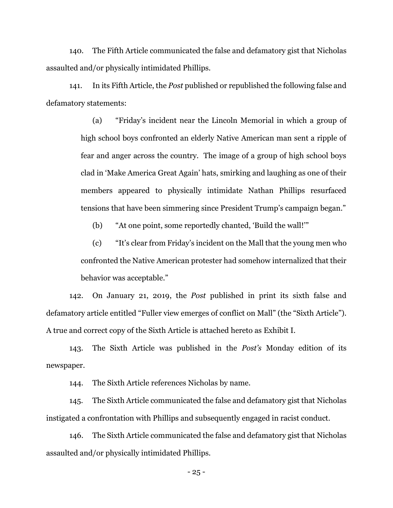140. The Fifth Article communicated the false and defamatory gist that Nicholas assaulted and/or physically intimidated Phillips.

141. In its Fifth Article, the *Post* published or republished the following false and defamatory statements:

> (a) "Friday's incident near the Lincoln Memorial in which a group of high school boys confronted an elderly Native American man sent a ripple of fear and anger across the country. The image of a group of high school boys clad in 'Make America Great Again' hats, smirking and laughing as one of their members appeared to physically intimidate Nathan Phillips resurfaced tensions that have been simmering since President Trump's campaign began."

(b) "At one point, some reportedly chanted, 'Build the wall!'"

(c) "It's clear from Friday's incident on the Mall that the young men who confronted the Native American protester had somehow internalized that their behavior was acceptable."

142. On January 21, 2019, the *Post* published in print its sixth false and defamatory article entitled "Fuller view emerges of conflict on Mall" (the "Sixth Article"). A true and correct copy of the Sixth Article is attached hereto as Exhibit I.

143. The Sixth Article was published in the *Post's* Monday edition of its newspaper.

144. The Sixth Article references Nicholas by name.

145. The Sixth Article communicated the false and defamatory gist that Nicholas instigated a confrontation with Phillips and subsequently engaged in racist conduct.

146. The Sixth Article communicated the false and defamatory gist that Nicholas assaulted and/or physically intimidated Phillips.

- 25 -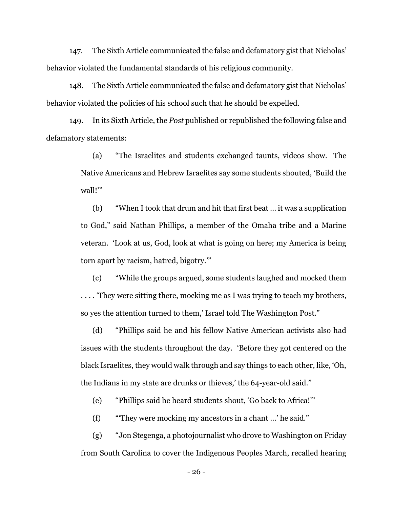147. The Sixth Article communicated the false and defamatory gist that Nicholas' behavior violated the fundamental standards of his religious community.

148. The Sixth Article communicated the false and defamatory gist that Nicholas' behavior violated the policies of his school such that he should be expelled.

149. In its Sixth Article, the *Post* published or republished the following false and defamatory statements:

> (a) "The Israelites and students exchanged taunts, videos show. The Native Americans and Hebrew Israelites say some students shouted, 'Build the wall!'"

> (b) "When I took that drum and hit that first beat … it was a supplication to God," said Nathan Phillips, a member of the Omaha tribe and a Marine veteran. 'Look at us, God, look at what is going on here; my America is being torn apart by racism, hatred, bigotry.'"

> (c) "While the groups argued, some students laughed and mocked them .... They were sitting there, mocking me as I was trying to teach my brothers, so yes the attention turned to them,' Israel told The Washington Post."

> (d) "Phillips said he and his fellow Native American activists also had issues with the students throughout the day. 'Before they got centered on the black Israelites, they would walk through and say things to each other, like, 'Oh, the Indians in my state are drunks or thieves,' the 64-year-old said."

(e) "Phillips said he heard students shout, 'Go back to Africa!'"

(f) "'They were mocking my ancestors in a chant …' he said."

(g) "Jon Stegenga, a photojournalist who drove to Washington on Friday from South Carolina to cover the Indigenous Peoples March, recalled hearing

- 26 -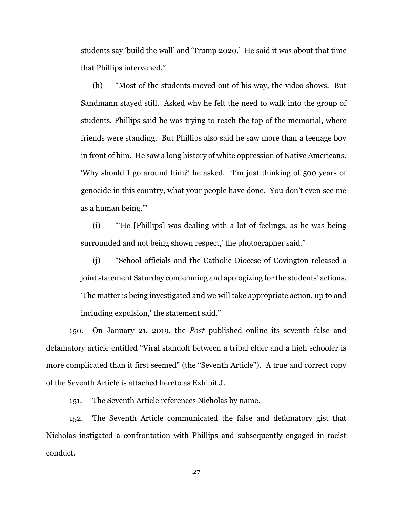students say 'build the wall' and 'Trump 2020.' He said it was about that time that Phillips intervened."

(h) "Most of the students moved out of his way, the video shows. But Sandmann stayed still. Asked why he felt the need to walk into the group of students, Phillips said he was trying to reach the top of the memorial, where friends were standing. But Phillips also said he saw more than a teenage boy in front of him. He saw a long history of white oppression of Native Americans. 'Why should I go around him?' he asked. 'I'm just thinking of 500 years of genocide in this country, what your people have done. You don't even see me as a human being.'"

(i) "'He [Phillips] was dealing with a lot of feelings, as he was being surrounded and not being shown respect,' the photographer said."

(j) "School officials and the Catholic Diocese of Covington released a joint statement Saturday condemning and apologizing for the students' actions. 'The matter is being investigated and we will take appropriate action, up to and including expulsion,' the statement said."

150. On January 21, 2019, the *Post* published online its seventh false and defamatory article entitled "Viral standoff between a tribal elder and a high schooler is more complicated than it first seemed" (the "Seventh Article"). A true and correct copy of the Seventh Article is attached hereto as Exhibit J.

151. The Seventh Article references Nicholas by name.

152. The Seventh Article communicated the false and defamatory gist that Nicholas instigated a confrontation with Phillips and subsequently engaged in racist conduct.

- 27 -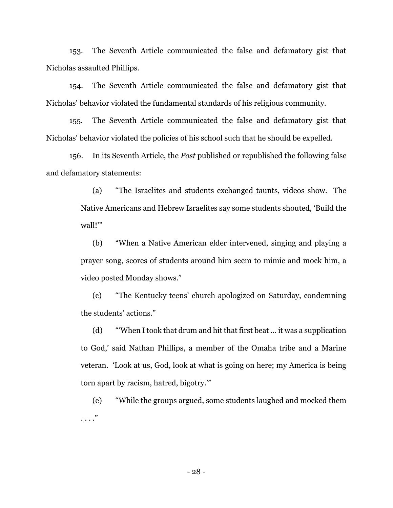153. The Seventh Article communicated the false and defamatory gist that Nicholas assaulted Phillips.

154. The Seventh Article communicated the false and defamatory gist that Nicholas' behavior violated the fundamental standards of his religious community.

155. The Seventh Article communicated the false and defamatory gist that Nicholas' behavior violated the policies of his school such that he should be expelled.

156. In its Seventh Article, the *Post* published or republished the following false and defamatory statements:

> (a) "The Israelites and students exchanged taunts, videos show. The Native Americans and Hebrew Israelites say some students shouted, 'Build the wall!'"

> (b) "When a Native American elder intervened, singing and playing a prayer song, scores of students around him seem to mimic and mock him, a video posted Monday shows."

> (c) "The Kentucky teens' church apologized on Saturday, condemning the students' actions."

> (d) "'When I took that drum and hit that first beat … it was a supplication to God,' said Nathan Phillips, a member of the Omaha tribe and a Marine veteran. 'Look at us, God, look at what is going on here; my America is being torn apart by racism, hatred, bigotry.'"

> (e) "While the groups argued, some students laughed and mocked them . . . ."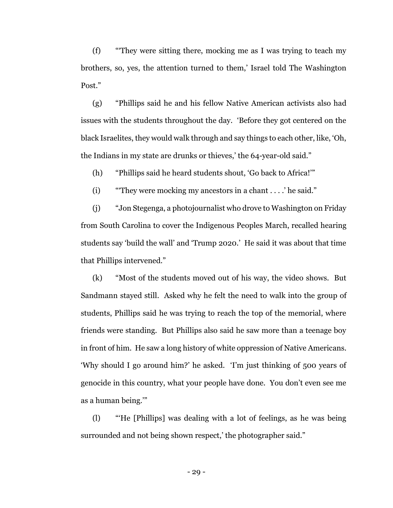(f) "'They were sitting there, mocking me as I was trying to teach my brothers, so, yes, the attention turned to them,' Israel told The Washington Post."

(g) "Phillips said he and his fellow Native American activists also had issues with the students throughout the day. 'Before they got centered on the black Israelites, they would walk through and say things to each other, like, 'Oh, the Indians in my state are drunks or thieves,' the 64-year-old said."

(h) "Phillips said he heard students shout, 'Go back to Africa!'"

(i) "'They were mocking my ancestors in a chant . . . .' he said."

(j) "Jon Stegenga, a photojournalist who drove to Washington on Friday from South Carolina to cover the Indigenous Peoples March, recalled hearing students say 'build the wall' and 'Trump 2020.' He said it was about that time that Phillips intervened."

(k) "Most of the students moved out of his way, the video shows. But Sandmann stayed still. Asked why he felt the need to walk into the group of students, Phillips said he was trying to reach the top of the memorial, where friends were standing. But Phillips also said he saw more than a teenage boy in front of him. He saw a long history of white oppression of Native Americans. 'Why should I go around him?' he asked. 'I'm just thinking of 500 years of genocide in this country, what your people have done. You don't even see me as a human being.'"

(l) "'He [Phillips] was dealing with a lot of feelings, as he was being surrounded and not being shown respect,' the photographer said."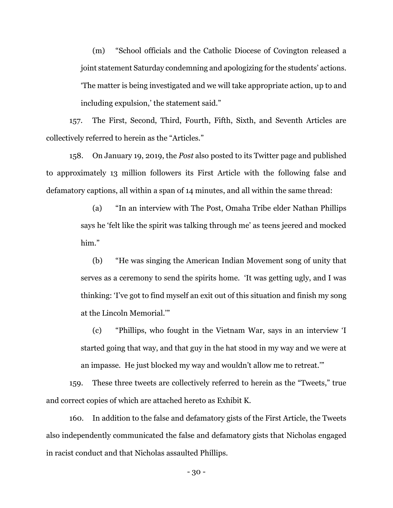(m) "School officials and the Catholic Diocese of Covington released a joint statement Saturday condemning and apologizing for the students' actions. 'The matter is being investigated and we will take appropriate action, up to and including expulsion,' the statement said."

157. The First, Second, Third, Fourth, Fifth, Sixth, and Seventh Articles are collectively referred to herein as the "Articles."

158. On January 19, 2019, the *Post* also posted to its Twitter page and published to approximately 13 million followers its First Article with the following false and defamatory captions, all within a span of 14 minutes, and all within the same thread:

> (a) "In an interview with The Post, Omaha Tribe elder Nathan Phillips says he 'felt like the spirit was talking through me' as teens jeered and mocked him."

> (b) "He was singing the American Indian Movement song of unity that serves as a ceremony to send the spirits home. 'It was getting ugly, and I was thinking: 'I've got to find myself an exit out of this situation and finish my song at the Lincoln Memorial.'"

> (c) "Phillips, who fought in the Vietnam War, says in an interview 'I started going that way, and that guy in the hat stood in my way and we were at an impasse. He just blocked my way and wouldn't allow me to retreat.'"

159. These three tweets are collectively referred to herein as the "Tweets," true and correct copies of which are attached hereto as Exhibit K.

160. In addition to the false and defamatory gists of the First Article, the Tweets also independently communicated the false and defamatory gists that Nicholas engaged in racist conduct and that Nicholas assaulted Phillips.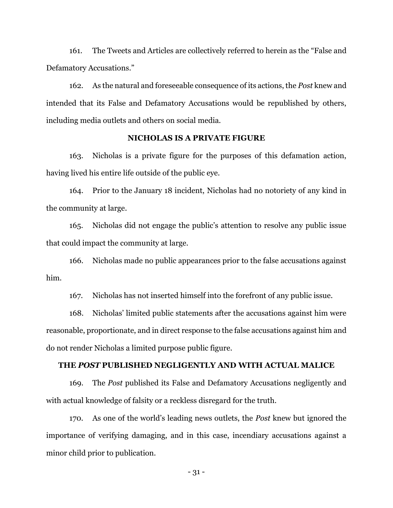161. The Tweets and Articles are collectively referred to herein as the "False and Defamatory Accusations."

162. As the natural and foreseeable consequence of its actions, the *Post* knew and intended that its False and Defamatory Accusations would be republished by others, including media outlets and others on social media.

# **NICHOLAS IS A PRIVATE FIGURE**

163. Nicholas is a private figure for the purposes of this defamation action, having lived his entire life outside of the public eye.

164. Prior to the January 18 incident, Nicholas had no notoriety of any kind in the community at large.

165. Nicholas did not engage the public's attention to resolve any public issue that could impact the community at large.

166. Nicholas made no public appearances prior to the false accusations against him.

167. Nicholas has not inserted himself into the forefront of any public issue.

168. Nicholas' limited public statements after the accusations against him were reasonable, proportionate, and in direct response to the false accusations against him and do not render Nicholas a limited purpose public figure.

## **THE** *POST* **PUBLISHED NEGLIGENTLY AND WITH ACTUAL MALICE**

169. The *Post* published its False and Defamatory Accusations negligently and with actual knowledge of falsity or a reckless disregard for the truth.

170. As one of the world's leading news outlets, the *Post* knew but ignored the importance of verifying damaging, and in this case, incendiary accusations against a minor child prior to publication.

- 31 -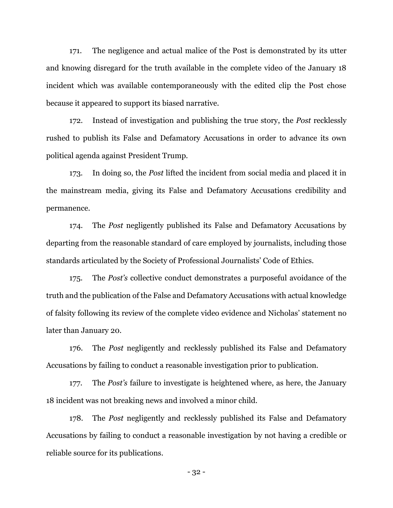171. The negligence and actual malice of the Post is demonstrated by its utter and knowing disregard for the truth available in the complete video of the January 18 incident which was available contemporaneously with the edited clip the Post chose because it appeared to support its biased narrative.

172. Instead of investigation and publishing the true story, the *Post* recklessly rushed to publish its False and Defamatory Accusations in order to advance its own political agenda against President Trump.

173. In doing so, the *Post* lifted the incident from social media and placed it in the mainstream media, giving its False and Defamatory Accusations credibility and permanence.

174. The *Post* negligently published its False and Defamatory Accusations by departing from the reasonable standard of care employed by journalists, including those standards articulated by the Society of Professional Journalists' Code of Ethics.

175. The *Post's* collective conduct demonstrates a purposeful avoidance of the truth and the publication of the False and Defamatory Accusations with actual knowledge of falsity following its review of the complete video evidence and Nicholas' statement no later than January 20.

176. The *Post* negligently and recklessly published its False and Defamatory Accusations by failing to conduct a reasonable investigation prior to publication.

177. The *Post's* failure to investigate is heightened where, as here, the January 18 incident was not breaking news and involved a minor child.

178. The *Post* negligently and recklessly published its False and Defamatory Accusations by failing to conduct a reasonable investigation by not having a credible or reliable source for its publications.

- 32 -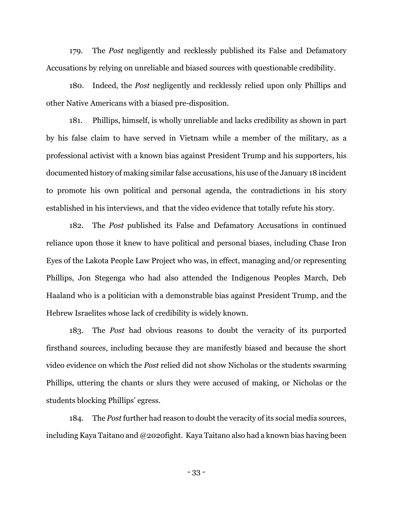179. The *Post* negligently and recklessly published its False and Defamatory Accusations by relying on unreliable and biased sources with questionable credibility.

180. Indeed, the *Post* negligently and recklessly relied upon only Phillips and other Native Americans with a biased pre-disposition.

181. Phillips, himself, is wholly unreliable and lacks credibility as shown in part by his false claim to have served in Vietnam while a member of the military, as a professional activist with a known bias against President Trump and his supporters, his documented history of making similar false accusations, his use of the January 18 incident to promote his own political and personal agenda, the contradictions in his story established in his interviews, and that the video evidence that totally refute his story.

182. The *Post* published its False and Defamatory Accusations in continued reliance upon those it knew to have political and personal biases, including Chase Iron Eyes of the Lakota People Law Project who was, in effect, managing and/or representing Phillips, Jon Stegenga who had also attended the Indigenous Peoples March, Deb Haaland who is a politician with a demonstrable bias against President Trump, and the Hebrew Israelites whose lack of credibility is widely known.

183. The *Post* had obvious reasons to doubt the veracity of its purported firsthand sources, including because they are manifestly biased and because the short video evidence on which the *Post* relied did not show Nicholas or the students swarming Phillips, uttering the chants or slurs they were accused of making, or Nicholas or the students blocking Phillips' egress.

184. The *Post* further had reason to doubt the veracity of its social media sources, including Kaya Taitano and @2020fight. Kaya Taitano also had a known bias having been

- 33 -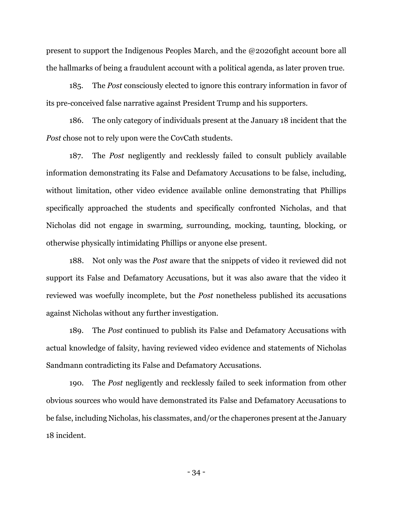present to support the Indigenous Peoples March, and the @2020fight account bore all the hallmarks of being a fraudulent account with a political agenda, as later proven true.

185. The *Post* consciously elected to ignore this contrary information in favor of its pre-conceived false narrative against President Trump and his supporters.

186. The only category of individuals present at the January 18 incident that the *Post* chose not to rely upon were the CovCath students.

187. The *Post* negligently and recklessly failed to consult publicly available information demonstrating its False and Defamatory Accusations to be false, including, without limitation, other video evidence available online demonstrating that Phillips specifically approached the students and specifically confronted Nicholas, and that Nicholas did not engage in swarming, surrounding, mocking, taunting, blocking, or otherwise physically intimidating Phillips or anyone else present.

188. Not only was the *Post* aware that the snippets of video it reviewed did not support its False and Defamatory Accusations, but it was also aware that the video it reviewed was woefully incomplete, but the *Post* nonetheless published its accusations against Nicholas without any further investigation.

189. The *Post* continued to publish its False and Defamatory Accusations with actual knowledge of falsity, having reviewed video evidence and statements of Nicholas Sandmann contradicting its False and Defamatory Accusations.

190. The *Post* negligently and recklessly failed to seek information from other obvious sources who would have demonstrated its False and Defamatory Accusations to be false, including Nicholas, his classmates, and/or the chaperones present at the January 18 incident.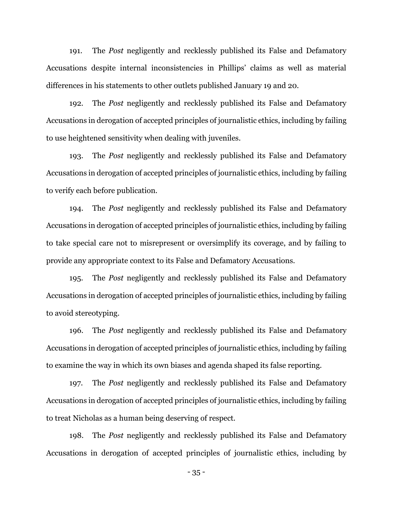191. The *Post* negligently and recklessly published its False and Defamatory Accusations despite internal inconsistencies in Phillips' claims as well as material differences in his statements to other outlets published January 19 and 20.

192. The *Post* negligently and recklessly published its False and Defamatory Accusations in derogation of accepted principles of journalistic ethics, including by failing to use heightened sensitivity when dealing with juveniles.

193. The *Post* negligently and recklessly published its False and Defamatory Accusations in derogation of accepted principles of journalistic ethics, including by failing to verify each before publication.

194. The *Post* negligently and recklessly published its False and Defamatory Accusations in derogation of accepted principles of journalistic ethics, including by failing to take special care not to misrepresent or oversimplify its coverage, and by failing to provide any appropriate context to its False and Defamatory Accusations.

195. The *Post* negligently and recklessly published its False and Defamatory Accusations in derogation of accepted principles of journalistic ethics, including by failing to avoid stereotyping.

196. The *Post* negligently and recklessly published its False and Defamatory Accusations in derogation of accepted principles of journalistic ethics, including by failing to examine the way in which its own biases and agenda shaped its false reporting.

197. The *Post* negligently and recklessly published its False and Defamatory Accusations in derogation of accepted principles of journalistic ethics, including by failing to treat Nicholas as a human being deserving of respect.

198. The *Post* negligently and recklessly published its False and Defamatory Accusations in derogation of accepted principles of journalistic ethics, including by

- 35 -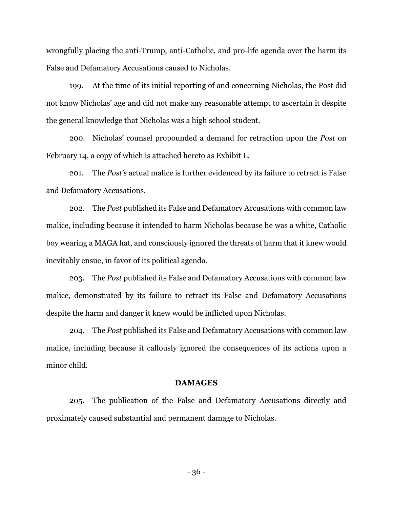wrongfully placing the anti-Trump, anti-Catholic, and pro-life agenda over the harm its False and Defamatory Accusations caused to Nicholas.

199. At the time of its initial reporting of and concerning Nicholas, the Post did not know Nicholas' age and did not make any reasonable attempt to ascertain it despite the general knowledge that Nicholas was a high school student.

200. Nicholas' counsel propounded a demand for retraction upon the *Post* on February 14, a copy of which is attached hereto as Exhibit L.

201. The *Post's* actual malice is further evidenced by its failure to retract is False and Defamatory Accusations.

202. The *Post* published its False and Defamatory Accusations with common law malice, including because it intended to harm Nicholas because he was a white, Catholic boy wearing a MAGA hat, and consciously ignored the threats of harm that it knew would inevitably ensue, in favor of its political agenda.

203. The *Post* published its False and Defamatory Accusations with common law malice, demonstrated by its failure to retract its False and Defamatory Accusations despite the harm and danger it knew would be inflicted upon Nicholas.

204. The *Post* published its False and Defamatory Accusations with common law malice, including because it callously ignored the consequences of its actions upon a minor child.

#### **DAMAGES**

205. The publication of the False and Defamatory Accusations directly and proximately caused substantial and permanent damage to Nicholas.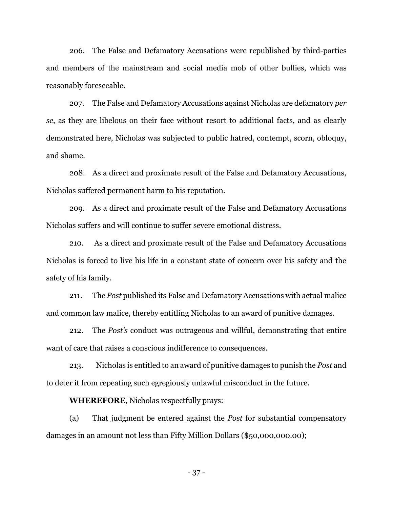206. The False and Defamatory Accusations were republished by third-parties and members of the mainstream and social media mob of other bullies, which was reasonably foreseeable.

207. The False and Defamatory Accusations against Nicholas are defamatory *per se*, as they are libelous on their face without resort to additional facts, and as clearly demonstrated here, Nicholas was subjected to public hatred, contempt, scorn, obloquy, and shame.

208. As a direct and proximate result of the False and Defamatory Accusations, Nicholas suffered permanent harm to his reputation.

209. As a direct and proximate result of the False and Defamatory Accusations Nicholas suffers and will continue to suffer severe emotional distress.

210. As a direct and proximate result of the False and Defamatory Accusations Nicholas is forced to live his life in a constant state of concern over his safety and the safety of his family.

211. The *Post* published its False and Defamatory Accusations with actual malice and common law malice, thereby entitling Nicholas to an award of punitive damages.

212. The *Post's* conduct was outrageous and willful, demonstrating that entire want of care that raises a conscious indifference to consequences.

213. Nicholas is entitled to an award of punitive damages to punish the *Post* and to deter it from repeating such egregiously unlawful misconduct in the future.

**WHEREFORE**, Nicholas respectfully prays:

(a) That judgment be entered against the *Post* for substantial compensatory damages in an amount not less than Fifty Million Dollars (\$50,000,000.00);

- 37 -